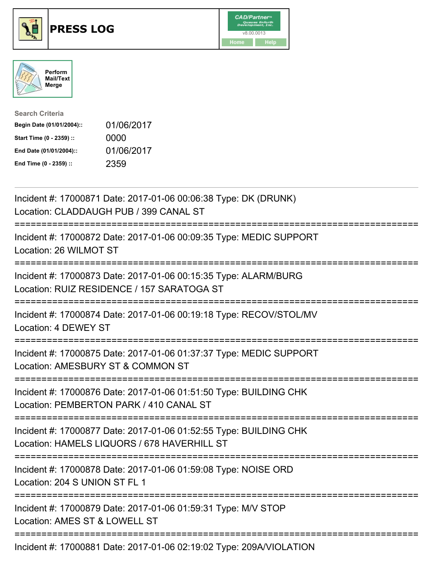





| <b>Search Criteria</b>    |            |
|---------------------------|------------|
| Begin Date (01/01/2004):: | 01/06/2017 |
| Start Time (0 - 2359) ::  | 0000       |
| End Date (01/01/2004)::   | 01/06/2017 |
| End Time (0 - 2359) ::    | 2359       |

| Incident #: 17000871 Date: 2017-01-06 00:06:38 Type: DK (DRUNK)<br>Location: CLADDAUGH PUB / 399 CANAL ST                                         |
|---------------------------------------------------------------------------------------------------------------------------------------------------|
| Incident #: 17000872 Date: 2017-01-06 00:09:35 Type: MEDIC SUPPORT<br>Location: 26 WILMOT ST<br>---------------                                   |
| Incident #: 17000873 Date: 2017-01-06 00:15:35 Type: ALARM/BURG<br>Location: RUIZ RESIDENCE / 157 SARATOGA ST                                     |
| Incident #: 17000874 Date: 2017-01-06 00:19:18 Type: RECOV/STOL/MV<br>Location: 4 DEWEY ST<br>------------------                                  |
| Incident #: 17000875 Date: 2017-01-06 01:37:37 Type: MEDIC SUPPORT<br>Location: AMESBURY ST & COMMON ST<br>:=========================             |
| Incident #: 17000876 Date: 2017-01-06 01:51:50 Type: BUILDING CHK<br>Location: PEMBERTON PARK / 410 CANAL ST<br>;================================ |
| Incident #: 17000877 Date: 2017-01-06 01:52:55 Type: BUILDING CHK<br>Location: HAMELS LIQUORS / 678 HAVERHILL ST                                  |
| Incident #: 17000878 Date: 2017-01-06 01:59:08 Type: NOISE ORD<br>Location: 204 S UNION ST FL 1                                                   |
| Incident #: 17000879 Date: 2017-01-06 01:59:31 Type: M/V STOP<br>Location: AMES ST & LOWELL ST                                                    |
| Incident #: 17000881 Date: 2017-01-06 02:19:02 Type: 209A/VIOLATION                                                                               |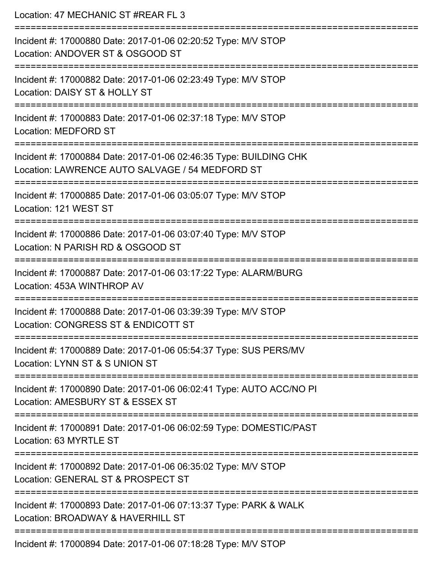| Location: 47 MECHANIC ST #REAR FL 3                                                                                  |
|----------------------------------------------------------------------------------------------------------------------|
| Incident #: 17000880 Date: 2017-01-06 02:20:52 Type: M/V STOP<br>Location: ANDOVER ST & OSGOOD ST                    |
| Incident #: 17000882 Date: 2017-01-06 02:23:49 Type: M/V STOP<br>Location: DAISY ST & HOLLY ST                       |
| Incident #: 17000883 Date: 2017-01-06 02:37:18 Type: M/V STOP<br><b>Location: MEDFORD ST</b>                         |
| Incident #: 17000884 Date: 2017-01-06 02:46:35 Type: BUILDING CHK<br>Location: LAWRENCE AUTO SALVAGE / 54 MEDFORD ST |
| Incident #: 17000885 Date: 2017-01-06 03:05:07 Type: M/V STOP<br>Location: 121 WEST ST                               |
| Incident #: 17000886 Date: 2017-01-06 03:07:40 Type: M/V STOP<br>Location: N PARISH RD & OSGOOD ST                   |
| Incident #: 17000887 Date: 2017-01-06 03:17:22 Type: ALARM/BURG<br>Location: 453A WINTHROP AV                        |
| Incident #: 17000888 Date: 2017-01-06 03:39:39 Type: M/V STOP<br>Location: CONGRESS ST & ENDICOTT ST                 |
| Incident #: 17000889 Date: 2017-01-06 05:54:37 Type: SUS PERS/MV<br>Location: LYNN ST & S UNION ST                   |
| Incident #: 17000890 Date: 2017-01-06 06:02:41 Type: AUTO ACC/NO PI<br>Location: AMESBURY ST & ESSEX ST              |
| Incident #: 17000891 Date: 2017-01-06 06:02:59 Type: DOMESTIC/PAST<br>Location: 63 MYRTLE ST                         |
| Incident #: 17000892 Date: 2017-01-06 06:35:02 Type: M/V STOP<br>Location: GENERAL ST & PROSPECT ST                  |
| Incident #: 17000893 Date: 2017-01-06 07:13:37 Type: PARK & WALK<br>Location: BROADWAY & HAVERHILL ST                |
| $J_{\text{no}}$ $J_{\text{on}}$ $H_{\text{on}}$ 47000004 Dete: 2017 04 06 07:10:20 Tupe: MALCTOD                     |

Incident #: 17000894 Date: 2017-01-06 07:18:28 Type: M/V STOP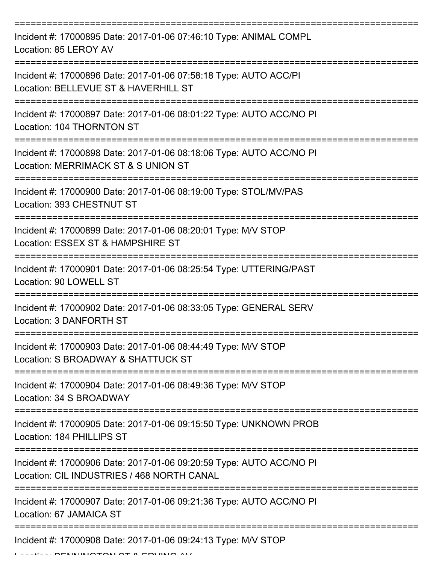| Incident #: 17000895 Date: 2017-01-06 07:46:10 Type: ANIMAL COMPL<br>Location: 85 LEROY AV                               |
|--------------------------------------------------------------------------------------------------------------------------|
| Incident #: 17000896 Date: 2017-01-06 07:58:18 Type: AUTO ACC/PI<br>Location: BELLEVUE ST & HAVERHILL ST                 |
| Incident #: 17000897 Date: 2017-01-06 08:01:22 Type: AUTO ACC/NO PI<br>Location: 104 THORNTON ST                         |
| Incident #: 17000898 Date: 2017-01-06 08:18:06 Type: AUTO ACC/NO PI<br>Location: MERRIMACK ST & S UNION ST               |
| Incident #: 17000900 Date: 2017-01-06 08:19:00 Type: STOL/MV/PAS<br>Location: 393 CHESTNUT ST                            |
| Incident #: 17000899 Date: 2017-01-06 08:20:01 Type: M/V STOP<br>Location: ESSEX ST & HAMPSHIRE ST                       |
| Incident #: 17000901 Date: 2017-01-06 08:25:54 Type: UTTERING/PAST<br>Location: 90 LOWELL ST                             |
| Incident #: 17000902 Date: 2017-01-06 08:33:05 Type: GENERAL SERV<br>Location: 3 DANFORTH ST                             |
| Incident #: 17000903 Date: 2017-01-06 08:44:49 Type: M/V STOP<br>Location: S BROADWAY & SHATTUCK ST                      |
| Incident #: 17000904 Date: 2017-01-06 08:49:36 Type: M/V STOP<br>Location: 34 S BROADWAY                                 |
| Incident #: 17000905 Date: 2017-01-06 09:15:50 Type: UNKNOWN PROB<br>Location: 184 PHILLIPS ST<br>:===================== |
| Incident #: 17000906 Date: 2017-01-06 09:20:59 Type: AUTO ACC/NO PI<br>Location: CIL INDUSTRIES / 468 NORTH CANAL        |
| Incident #: 17000907 Date: 2017-01-06 09:21:36 Type: AUTO ACC/NO PI<br>Location: 67 JAMAICA ST                           |
| Incident #: 17000908 Date: 2017-01-06 09:24:13 Type: M/V STOP                                                            |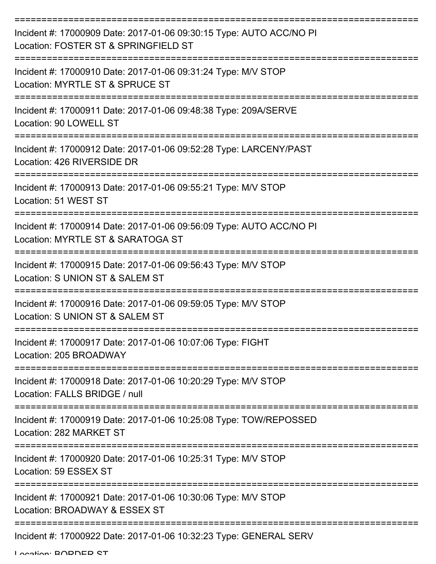| Incident #: 17000909 Date: 2017-01-06 09:30:15 Type: AUTO ACC/NO PI<br>Location: FOSTER ST & SPRINGFIELD ST |
|-------------------------------------------------------------------------------------------------------------|
| Incident #: 17000910 Date: 2017-01-06 09:31:24 Type: M/V STOP<br>Location: MYRTLE ST & SPRUCE ST            |
| Incident #: 17000911 Date: 2017-01-06 09:48:38 Type: 209A/SERVE<br>Location: 90 LOWELL ST                   |
| Incident #: 17000912 Date: 2017-01-06 09:52:28 Type: LARCENY/PAST<br>Location: 426 RIVERSIDE DR             |
| Incident #: 17000913 Date: 2017-01-06 09:55:21 Type: M/V STOP<br>Location: 51 WEST ST                       |
| Incident #: 17000914 Date: 2017-01-06 09:56:09 Type: AUTO ACC/NO PI<br>Location: MYRTLE ST & SARATOGA ST    |
| Incident #: 17000915 Date: 2017-01-06 09:56:43 Type: M/V STOP<br>Location: S UNION ST & SALEM ST            |
| Incident #: 17000916 Date: 2017-01-06 09:59:05 Type: M/V STOP<br>Location: S UNION ST & SALEM ST            |
| Incident #: 17000917 Date: 2017-01-06 10:07:06 Type: FIGHT<br>Location: 205 BROADWAY                        |
| Incident #: 17000918 Date: 2017-01-06 10:20:29 Type: M/V STOP<br>Location: FALLS BRIDGE / null              |
| Incident #: 17000919 Date: 2017-01-06 10:25:08 Type: TOW/REPOSSED<br>Location: 282 MARKET ST                |
| Incident #: 17000920 Date: 2017-01-06 10:25:31 Type: M/V STOP<br>Location: 59 ESSEX ST                      |
| Incident #: 17000921 Date: 2017-01-06 10:30:06 Type: M/V STOP<br>Location: BROADWAY & ESSEX ST              |
| Incident #: 17000922 Date: 2017-01-06 10:32:23 Type: GENERAL SERV                                           |

Location: **BOBRED ST**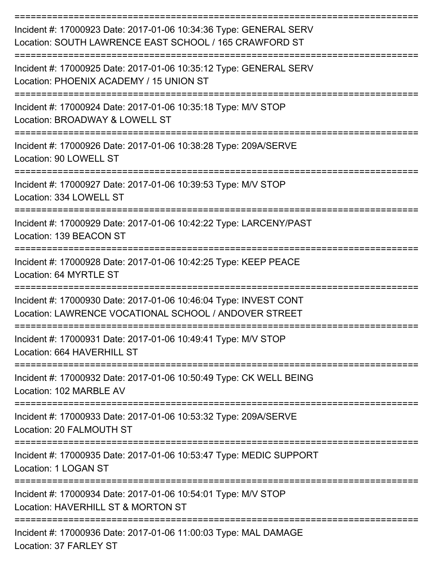| Incident #: 17000923 Date: 2017-01-06 10:34:36 Type: GENERAL SERV<br>Location: SOUTH LAWRENCE EAST SCHOOL / 165 CRAWFORD ST |
|-----------------------------------------------------------------------------------------------------------------------------|
| Incident #: 17000925 Date: 2017-01-06 10:35:12 Type: GENERAL SERV<br>Location: PHOENIX ACADEMY / 15 UNION ST                |
| Incident #: 17000924 Date: 2017-01-06 10:35:18 Type: M/V STOP<br>Location: BROADWAY & LOWELL ST                             |
| Incident #: 17000926 Date: 2017-01-06 10:38:28 Type: 209A/SERVE<br>Location: 90 LOWELL ST                                   |
| Incident #: 17000927 Date: 2017-01-06 10:39:53 Type: M/V STOP<br>Location: 334 LOWELL ST                                    |
| Incident #: 17000929 Date: 2017-01-06 10:42:22 Type: LARCENY/PAST<br>Location: 139 BEACON ST                                |
| Incident #: 17000928 Date: 2017-01-06 10:42:25 Type: KEEP PEACE<br>Location: 64 MYRTLE ST                                   |
| Incident #: 17000930 Date: 2017-01-06 10:46:04 Type: INVEST CONT<br>Location: LAWRENCE VOCATIONAL SCHOOL / ANDOVER STREET   |
| Incident #: 17000931 Date: 2017-01-06 10:49:41 Type: M/V STOP<br>Location: 664 HAVERHILL ST                                 |
| Incident #: 17000932 Date: 2017-01-06 10:50:49 Type: CK WELL BEING<br>Location: 102 MARBLE AV                               |
| Incident #: 17000933 Date: 2017-01-06 10:53:32 Type: 209A/SERVE<br>Location: 20 FALMOUTH ST                                 |
| Incident #: 17000935 Date: 2017-01-06 10:53:47 Type: MEDIC SUPPORT<br>Location: 1 LOGAN ST                                  |
| Incident #: 17000934 Date: 2017-01-06 10:54:01 Type: M/V STOP<br>Location: HAVERHILL ST & MORTON ST                         |
| Incident #: 17000936 Date: 2017-01-06 11:00:03 Type: MAL DAMAGE<br>Location: 37 FARLEY ST                                   |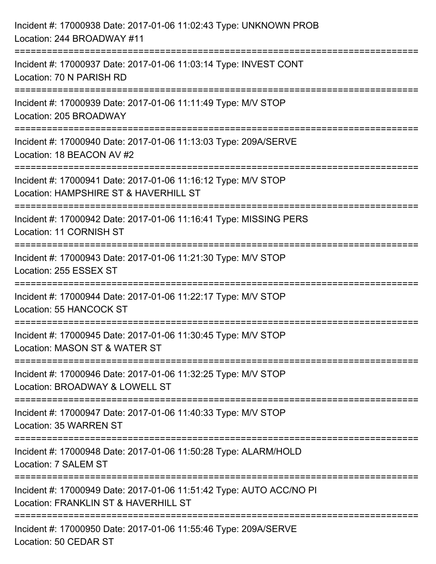| Incident #: 17000938 Date: 2017-01-06 11:02:43 Type: UNKNOWN PROB<br>Location: 244 BROADWAY #11                                   |
|-----------------------------------------------------------------------------------------------------------------------------------|
| :============================<br>Incident #: 17000937 Date: 2017-01-06 11:03:14 Type: INVEST CONT<br>Location: 70 N PARISH RD     |
| Incident #: 17000939 Date: 2017-01-06 11:11:49 Type: M/V STOP<br>Location: 205 BROADWAY<br>;===================================== |
| Incident #: 17000940 Date: 2017-01-06 11:13:03 Type: 209A/SERVE<br>Location: 18 BEACON AV #2                                      |
| Incident #: 17000941 Date: 2017-01-06 11:16:12 Type: M/V STOP<br>Location: HAMPSHIRE ST & HAVERHILL ST                            |
| Incident #: 17000942 Date: 2017-01-06 11:16:41 Type: MISSING PERS<br>Location: 11 CORNISH ST                                      |
| Incident #: 17000943 Date: 2017-01-06 11:21:30 Type: M/V STOP<br>Location: 255 ESSEX ST                                           |
| Incident #: 17000944 Date: 2017-01-06 11:22:17 Type: M/V STOP<br>Location: 55 HANCOCK ST                                          |
| Incident #: 17000945 Date: 2017-01-06 11:30:45 Type: M/V STOP<br>Location: MASON ST & WATER ST                                    |
| Incident #: 17000946 Date: 2017-01-06 11:32:25 Type: M/V STOP<br>Location: BROADWAY & LOWELL ST                                   |
| Incident #: 17000947 Date: 2017-01-06 11:40:33 Type: M/V STOP<br>Location: 35 WARREN ST                                           |
| Incident #: 17000948 Date: 2017-01-06 11:50:28 Type: ALARM/HOLD<br>Location: 7 SALEM ST                                           |
| Incident #: 17000949 Date: 2017-01-06 11:51:42 Type: AUTO ACC/NO PI<br>Location: FRANKLIN ST & HAVERHILL ST                       |
| ---------------------<br>Incident #: 17000950 Date: 2017-01-06 11:55:46 Type: 209A/SERVE<br>Location: 50 CEDAR ST                 |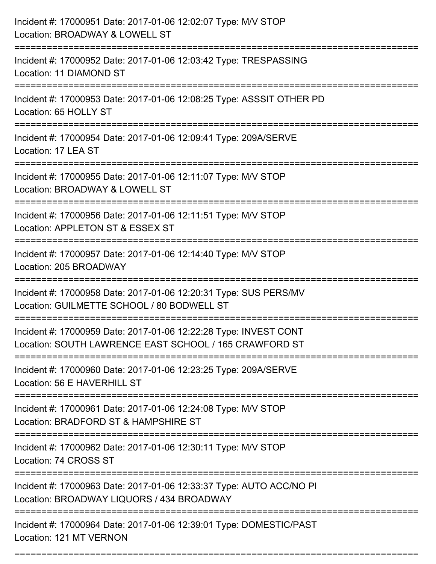| Incident #: 17000951 Date: 2017-01-06 12:02:07 Type: M/V STOP<br>Location: BROADWAY & LOWELL ST                                                          |
|----------------------------------------------------------------------------------------------------------------------------------------------------------|
| Incident #: 17000952 Date: 2017-01-06 12:03:42 Type: TRESPASSING<br>Location: 11 DIAMOND ST                                                              |
| Incident #: 17000953 Date: 2017-01-06 12:08:25 Type: ASSSIT OTHER PD<br>Location: 65 HOLLY ST                                                            |
| Incident #: 17000954 Date: 2017-01-06 12:09:41 Type: 209A/SERVE<br>Location: 17 LEA ST                                                                   |
| Incident #: 17000955 Date: 2017-01-06 12:11:07 Type: M/V STOP<br>Location: BROADWAY & LOWELL ST<br>===================                                   |
| Incident #: 17000956 Date: 2017-01-06 12:11:51 Type: M/V STOP<br>Location: APPLETON ST & ESSEX ST                                                        |
| Incident #: 17000957 Date: 2017-01-06 12:14:40 Type: M/V STOP<br>Location: 205 BROADWAY                                                                  |
| Incident #: 17000958 Date: 2017-01-06 12:20:31 Type: SUS PERS/MV<br>Location: GUILMETTE SCHOOL / 80 BODWELL ST                                           |
| Incident #: 17000959 Date: 2017-01-06 12:22:28 Type: INVEST CONT<br>Location: SOUTH LAWRENCE EAST SCHOOL / 165 CRAWFORD ST                               |
| Incident #: 17000960 Date: 2017-01-06 12:23:25 Type: 209A/SERVE<br>Location: 56 E HAVERHILL ST                                                           |
| Incident #: 17000961 Date: 2017-01-06 12:24:08 Type: M/V STOP<br>Location: BRADFORD ST & HAMPSHIRE ST                                                    |
| Incident #: 17000962 Date: 2017-01-06 12:30:11 Type: M/V STOP<br>Location: 74 CROSS ST                                                                   |
| ====================================<br>Incident #: 17000963 Date: 2017-01-06 12:33:37 Type: AUTO ACC/NO PI<br>Location: BROADWAY LIQUORS / 434 BROADWAY |
| Incident #: 17000964 Date: 2017-01-06 12:39:01 Type: DOMESTIC/PAST<br>Location: 121 MT VERNON                                                            |

===========================================================================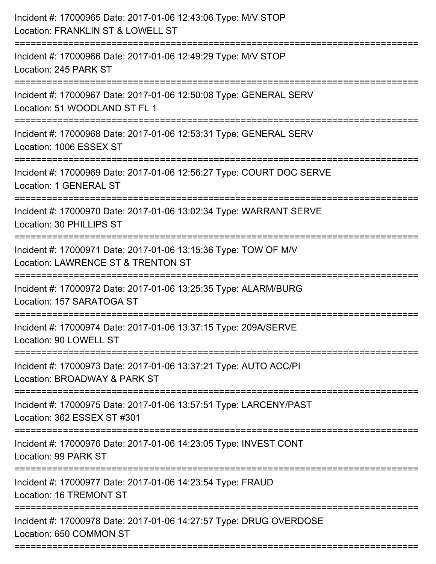| Incident #: 17000965 Date: 2017-01-06 12:43:06 Type: M/V STOP<br>Location: FRANKLIN ST & LOWELL ST<br>========================         |
|----------------------------------------------------------------------------------------------------------------------------------------|
| Incident #: 17000966 Date: 2017-01-06 12:49:29 Type: M/V STOP<br>Location: 245 PARK ST                                                 |
| Incident #: 17000967 Date: 2017-01-06 12:50:08 Type: GENERAL SERV<br>Location: 51 WOODLAND ST FL 1                                     |
| Incident #: 17000968 Date: 2017-01-06 12:53:31 Type: GENERAL SERV<br>Location: 1006 ESSEX ST<br>:=================                     |
| Incident #: 17000969 Date: 2017-01-06 12:56:27 Type: COURT DOC SERVE<br>Location: 1 GENERAL ST                                         |
| Incident #: 17000970 Date: 2017-01-06 13:02:34 Type: WARRANT SERVE<br>Location: 30 PHILLIPS ST<br>:=================================== |
| Incident #: 17000971 Date: 2017-01-06 13:15:36 Type: TOW OF M/V<br>Location: LAWRENCE ST & TRENTON ST                                  |
| Incident #: 17000972 Date: 2017-01-06 13:25:35 Type: ALARM/BURG<br>Location: 157 SARATOGA ST                                           |
| Incident #: 17000974 Date: 2017-01-06 13:37:15 Type: 209A/SERVE<br>Location: 90 LOWELL ST                                              |
| Incident #: 17000973 Date: 2017-01-06 13:37:21 Type: AUTO ACC/PI<br>Location: BROADWAY & PARK ST                                       |
| Incident #: 17000975 Date: 2017-01-06 13:57:51 Type: LARCENY/PAST<br>Location: 362 ESSEX ST #301                                       |
| Incident #: 17000976 Date: 2017-01-06 14:23:05 Type: INVEST CONT<br>Location: 99 PARK ST                                               |
| Incident #: 17000977 Date: 2017-01-06 14:23:54 Type: FRAUD<br>Location: 16 TREMONT ST                                                  |
| Incident #: 17000978 Date: 2017-01-06 14:27:57 Type: DRUG OVERDOSE<br>Location: 650 COMMON ST                                          |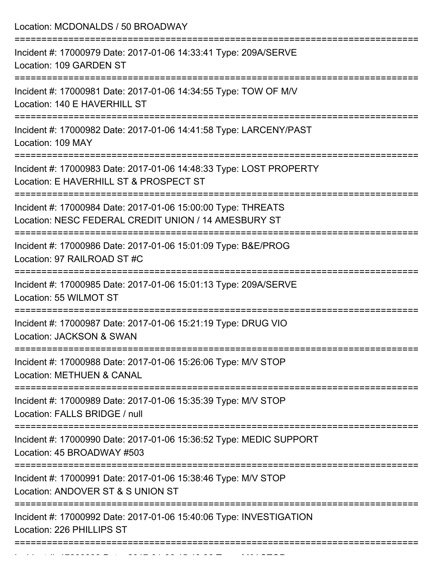| Location: MCDONALDS / 50 BROADWAY                                                                                                                                       |
|-------------------------------------------------------------------------------------------------------------------------------------------------------------------------|
| =====================<br>Incident #: 17000979 Date: 2017-01-06 14:33:41 Type: 209A/SERVE<br>Location: 109 GARDEN ST                                                     |
| Incident #: 17000981 Date: 2017-01-06 14:34:55 Type: TOW OF M/V<br>Location: 140 E HAVERHILL ST                                                                         |
| Incident #: 17000982 Date: 2017-01-06 14:41:58 Type: LARCENY/PAST<br>Location: 109 MAY                                                                                  |
| Incident #: 17000983 Date: 2017-01-06 14:48:33 Type: LOST PROPERTY<br>Location: E HAVERHILL ST & PROSPECT ST<br>:========================                               |
| Incident #: 17000984 Date: 2017-01-06 15:00:00 Type: THREATS<br>Location: NESC FEDERAL CREDIT UNION / 14 AMESBURY ST                                                    |
| Incident #: 17000986 Date: 2017-01-06 15:01:09 Type: B&E/PROG<br>Location: 97 RAILROAD ST #C                                                                            |
| Incident #: 17000985 Date: 2017-01-06 15:01:13 Type: 209A/SERVE<br>Location: 55 WILMOT ST                                                                               |
| Incident #: 17000987 Date: 2017-01-06 15:21:19 Type: DRUG VIO<br><b>Location: JACKSON &amp; SWAN</b>                                                                    |
| Incident #: 17000988 Date: 2017-01-06 15:26:06 Type: M/V STOP<br><b>Location: METHUEN &amp; CANAL</b>                                                                   |
| ====================================<br>-----------------------------<br>Incident #: 17000989 Date: 2017-01-06 15:35:39 Type: M/V STOP<br>Location: FALLS BRIDGE / null |
| Incident #: 17000990 Date: 2017-01-06 15:36:52 Type: MEDIC SUPPORT<br>Location: 45 BROADWAY #503                                                                        |
| Incident #: 17000991 Date: 2017-01-06 15:38:46 Type: M/V STOP<br>Location: ANDOVER ST & S UNION ST                                                                      |
| Incident #: 17000992 Date: 2017-01-06 15:40:06 Type: INVESTIGATION<br>Location: 226 PHILLIPS ST                                                                         |

Incident #: 17000993 Date: 2017 01 06 15:40:36 Type: M/V STOP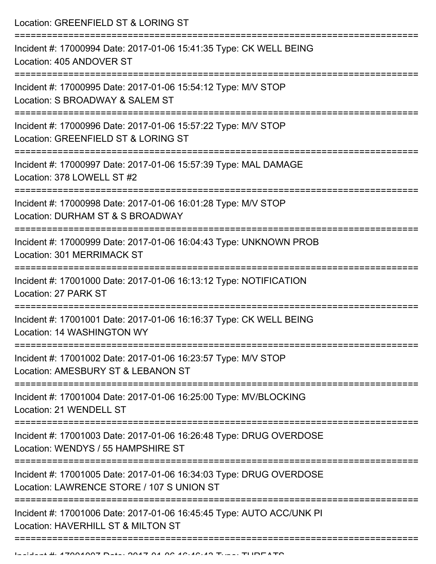Location: GREENFIELD ST & LORING ST =========================================================================== Incident #: 17000994 Date: 2017-01-06 15:41:35 Type: CK WELL BEING Location: 405 ANDOVER ST =========================================================================== Incident #: 17000995 Date: 2017-01-06 15:54:12 Type: M/V STOP Location: S BROADWAY & SALEM ST =========================================================================== Incident #: 17000996 Date: 2017-01-06 15:57:22 Type: M/V STOP Location: GREENFIELD ST & LORING ST =========================================================================== Incident #: 17000997 Date: 2017-01-06 15:57:39 Type: MAL DAMAGE Location: 378 LOWELL ST #2 =========================================================================== Incident #: 17000998 Date: 2017-01-06 16:01:28 Type: M/V STOP Location: DURHAM ST & S BROADWAY =========================================================================== Incident #: 17000999 Date: 2017-01-06 16:04:43 Type: UNKNOWN PROB Location: 301 MERRIMACK ST =========================================================================== Incident #: 17001000 Date: 2017-01-06 16:13:12 Type: NOTIFICATION Location: 27 PARK ST =========================================================================== Incident #: 17001001 Date: 2017-01-06 16:16:37 Type: CK WELL BEING Location: 14 WASHINGTON WY =========================================================================== Incident #: 17001002 Date: 2017-01-06 16:23:57 Type: M/V STOP Location: AMESBURY ST & LEBANON ST =========================================================================== Incident #: 17001004 Date: 2017-01-06 16:25:00 Type: MV/BLOCKING Location: 21 WENDELL ST =========================================================================== Incident #: 17001003 Date: 2017-01-06 16:26:48 Type: DRUG OVERDOSE Location: WENDYS / 55 HAMPSHIRE ST =========================================================================== Incident #: 17001005 Date: 2017-01-06 16:34:03 Type: DRUG OVERDOSE Location: LAWRENCE STORE / 107 S UNION ST =========================================================================== Incident #: 17001006 Date: 2017-01-06 16:45:45 Type: AUTO ACC/UNK PI Location: HAVERHILL ST & MILTON ST

=============================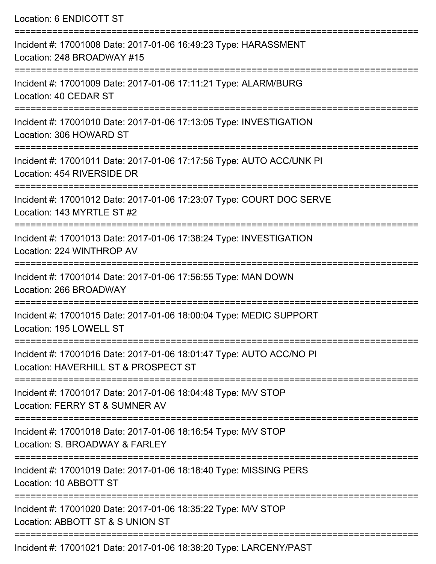| Location: 6 ENDICOTT ST                                                                                     |
|-------------------------------------------------------------------------------------------------------------|
| Incident #: 17001008 Date: 2017-01-06 16:49:23 Type: HARASSMENT<br>Location: 248 BROADWAY #15               |
| Incident #: 17001009 Date: 2017-01-06 17:11:21 Type: ALARM/BURG<br>Location: 40 CEDAR ST                    |
| Incident #: 17001010 Date: 2017-01-06 17:13:05 Type: INVESTIGATION<br>Location: 306 HOWARD ST               |
| Incident #: 17001011 Date: 2017-01-06 17:17:56 Type: AUTO ACC/UNK PI<br>Location: 454 RIVERSIDE DR          |
| Incident #: 17001012 Date: 2017-01-06 17:23:07 Type: COURT DOC SERVE<br>Location: 143 MYRTLE ST #2          |
| Incident #: 17001013 Date: 2017-01-06 17:38:24 Type: INVESTIGATION<br>Location: 224 WINTHROP AV             |
| Incident #: 17001014 Date: 2017-01-06 17:56:55 Type: MAN DOWN<br>Location: 266 BROADWAY                     |
| Incident #: 17001015 Date: 2017-01-06 18:00:04 Type: MEDIC SUPPORT<br>Location: 195 LOWELL ST               |
| Incident #: 17001016 Date: 2017-01-06 18:01:47 Type: AUTO ACC/NO PI<br>Location: HAVERHILL ST & PROSPECT ST |
| Incident #: 17001017 Date: 2017-01-06 18:04:48 Type: M/V STOP<br>Location: FERRY ST & SUMNER AV             |
| Incident #: 17001018 Date: 2017-01-06 18:16:54 Type: M/V STOP<br>Location: S. BROADWAY & FARLEY             |
| Incident #: 17001019 Date: 2017-01-06 18:18:40 Type: MISSING PERS<br>Location: 10 ABBOTT ST                 |
| Incident #: 17001020 Date: 2017-01-06 18:35:22 Type: M/V STOP<br>Location: ABBOTT ST & S UNION ST           |
| Jn                                                                                                          |

Incident #: 17001021 Date: 2017-01-06 18:38:20 Type: LARCENY/PAST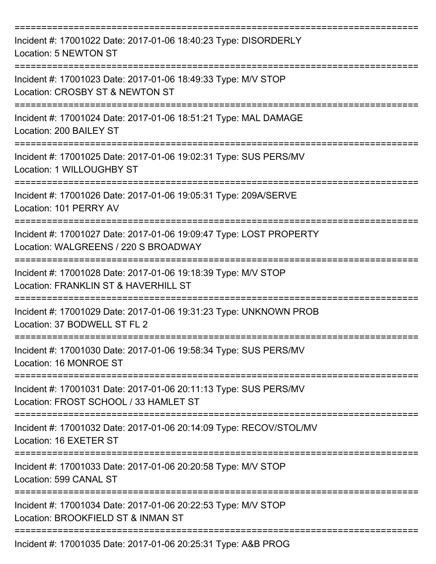| Incident #: 17001022 Date: 2017-01-06 18:40:23 Type: DISORDERLY<br>Location: 5 NEWTON ST                   |
|------------------------------------------------------------------------------------------------------------|
| Incident #: 17001023 Date: 2017-01-06 18:49:33 Type: M/V STOP<br>Location: CROSBY ST & NEWTON ST           |
| Incident #: 17001024 Date: 2017-01-06 18:51:21 Type: MAL DAMAGE<br>Location: 200 BAILEY ST                 |
| Incident #: 17001025 Date: 2017-01-06 19:02:31 Type: SUS PERS/MV<br>Location: 1 WILLOUGHBY ST              |
| Incident #: 17001026 Date: 2017-01-06 19:05:31 Type: 209A/SERVE<br>Location: 101 PERRY AV                  |
| Incident #: 17001027 Date: 2017-01-06 19:09:47 Type: LOST PROPERTY<br>Location: WALGREENS / 220 S BROADWAY |
| Incident #: 17001028 Date: 2017-01-06 19:18:39 Type: M/V STOP<br>Location: FRANKLIN ST & HAVERHILL ST      |
| Incident #: 17001029 Date: 2017-01-06 19:31:23 Type: UNKNOWN PROB<br>Location: 37 BODWELL ST FL 2          |
| Incident #: 17001030 Date: 2017-01-06 19:58:34 Type: SUS PERS/MV<br>Location: 16 MONROE ST                 |
| Incident #: 17001031 Date: 2017-01-06 20:11:13 Type: SUS PERS/MV<br>Location: FROST SCHOOL / 33 HAMLET ST  |
| Incident #: 17001032 Date: 2017-01-06 20:14:09 Type: RECOV/STOL/MV<br>Location: 16 EXETER ST               |
| Incident #: 17001033 Date: 2017-01-06 20:20:58 Type: M/V STOP<br>Location: 599 CANAL ST                    |
| Incident #: 17001034 Date: 2017-01-06 20:22:53 Type: M/V STOP<br>Location: BROOKFIELD ST & INMAN ST        |
| Incident #: 17001035 Date: 2017-01-06 20:25:31 Type: A&B PROG                                              |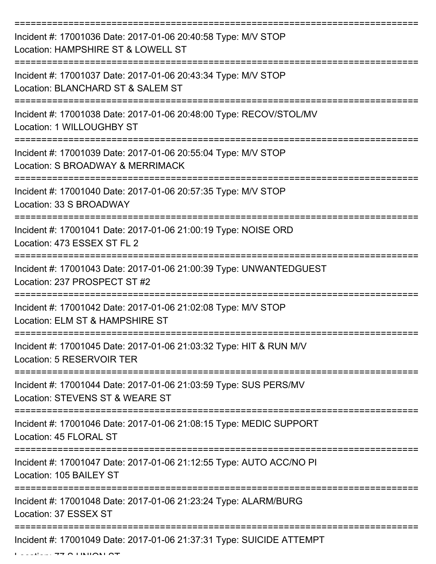| Incident #: 17001036 Date: 2017-01-06 20:40:58 Type: M/V STOP<br>Location: HAMPSHIRE ST & LOWELL ST                      |
|--------------------------------------------------------------------------------------------------------------------------|
| Incident #: 17001037 Date: 2017-01-06 20:43:34 Type: M/V STOP<br>Location: BLANCHARD ST & SALEM ST                       |
| Incident #: 17001038 Date: 2017-01-06 20:48:00 Type: RECOV/STOL/MV<br>Location: 1 WILLOUGHBY ST                          |
| Incident #: 17001039 Date: 2017-01-06 20:55:04 Type: M/V STOP<br>Location: S BROADWAY & MERRIMACK                        |
| Incident #: 17001040 Date: 2017-01-06 20:57:35 Type: M/V STOP<br>Location: 33 S BROADWAY                                 |
| Incident #: 17001041 Date: 2017-01-06 21:00:19 Type: NOISE ORD<br>Location: 473 ESSEX ST FL 2                            |
| Incident #: 17001043 Date: 2017-01-06 21:00:39 Type: UNWANTEDGUEST<br>Location: 237 PROSPECT ST #2                       |
| Incident #: 17001042 Date: 2017-01-06 21:02:08 Type: M/V STOP<br>Location: ELM ST & HAMPSHIRE ST                         |
| Incident #: 17001045 Date: 2017-01-06 21:03:32 Type: HIT & RUN M/V<br>Location: 5 RESERVOIR TER                          |
| =================<br>Incident #: 17001044 Date: 2017-01-06 21:03:59 Type: SUS PERS/MV<br>Location: STEVENS ST & WEARE ST |
| Incident #: 17001046 Date: 2017-01-06 21:08:15 Type: MEDIC SUPPORT<br>Location: 45 FLORAL ST                             |
| Incident #: 17001047 Date: 2017-01-06 21:12:55 Type: AUTO ACC/NO PI<br>Location: 105 BAILEY ST                           |
| Incident #: 17001048 Date: 2017-01-06 21:23:24 Type: ALARM/BURG<br>Location: 37 ESSEX ST                                 |
| Incident #: 17001049 Date: 2017-01-06 21:37:31 Type: SUICIDE ATTEMPT                                                     |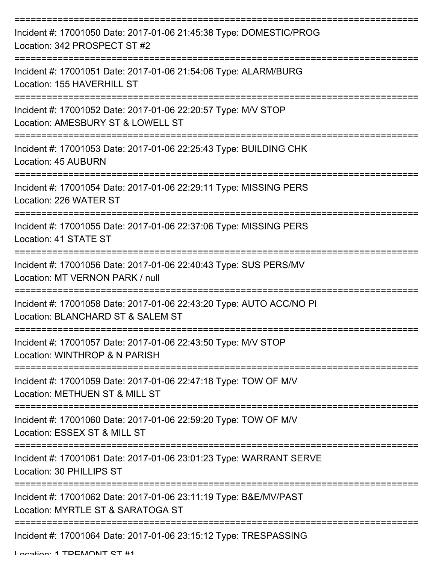| Incident #: 17001050 Date: 2017-01-06 21:45:38 Type: DOMESTIC/PROG<br>Location: 342 PROSPECT ST #2                |
|-------------------------------------------------------------------------------------------------------------------|
| Incident #: 17001051 Date: 2017-01-06 21:54:06 Type: ALARM/BURG<br>Location: 155 HAVERHILL ST                     |
| Incident #: 17001052 Date: 2017-01-06 22:20:57 Type: M/V STOP<br>Location: AMESBURY ST & LOWELL ST                |
| Incident #: 17001053 Date: 2017-01-06 22:25:43 Type: BUILDING CHK<br>Location: 45 AUBURN                          |
| Incident #: 17001054 Date: 2017-01-06 22:29:11 Type: MISSING PERS<br>Location: 226 WATER ST                       |
| Incident #: 17001055 Date: 2017-01-06 22:37:06 Type: MISSING PERS<br>Location: 41 STATE ST<br>------------------- |
| Incident #: 17001056 Date: 2017-01-06 22:40:43 Type: SUS PERS/MV<br>Location: MT VERNON PARK / null               |
| Incident #: 17001058 Date: 2017-01-06 22:43:20 Type: AUTO ACC/NO PI<br>Location: BLANCHARD ST & SALEM ST          |
| Incident #: 17001057 Date: 2017-01-06 22:43:50 Type: M/V STOP<br>Location: WINTHROP & N PARISH                    |
| Incident #: 17001059 Date: 2017-01-06 22:47:18 Type: TOW OF M/V<br>Location: METHUEN ST & MILL ST                 |
| Incident #: 17001060 Date: 2017-01-06 22:59:20 Type: TOW OF M/V<br>Location: ESSEX ST & MILL ST                   |
| Incident #: 17001061 Date: 2017-01-06 23:01:23 Type: WARRANT SERVE<br>Location: 30 PHILLIPS ST                    |
| Incident #: 17001062 Date: 2017-01-06 23:11:19 Type: B&E/MV/PAST<br>Location: MYRTLE ST & SARATOGA ST             |
| Incident #: 17001064 Date: 2017-01-06 23:15:12 Type: TRESPASSING                                                  |

Location: 1 TDEMONIT ST #1